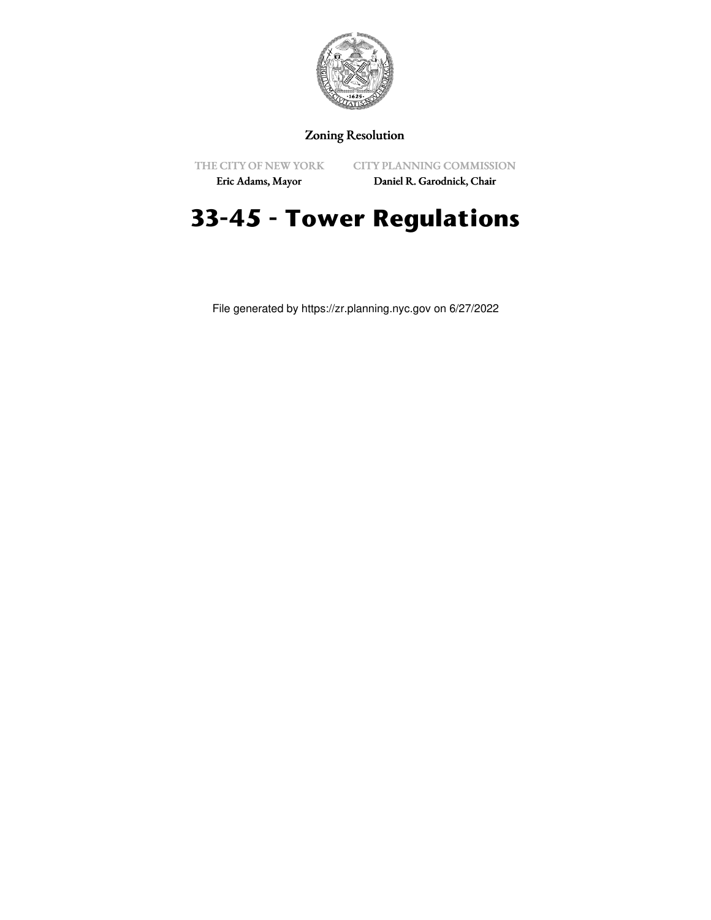

## Zoning Resolution

THE CITY OF NEW YORK

CITY PLANNING COMMISSION

Eric Adams, Mayor

Daniel R. Garodnick, Chair

# **33-45 - Tower Regulations**

File generated by https://zr.planning.nyc.gov on 6/27/2022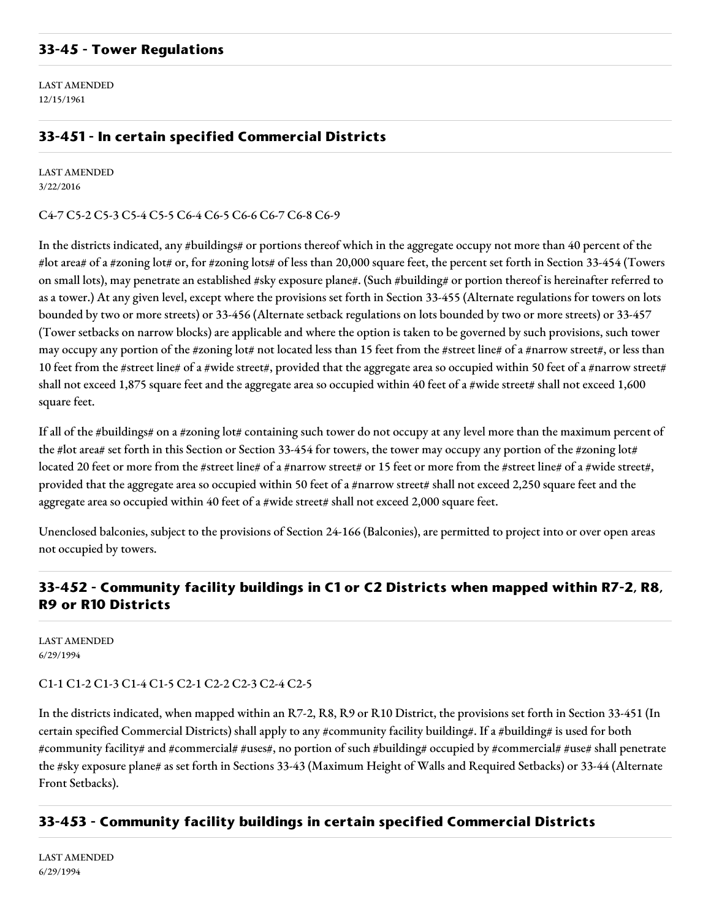## **33-45 - Tower Regulations**

LAST AMENDED 12/15/1961

# **33-451 - In certain specified Commercial Districts**

LAST AMENDED 3/22/2016

#### C4-7 C5-2 C5-3 C5-4 C5-5 C6-4 C6-5 C6-6 C6-7 C6-8 C6-9

In the districts indicated, any #buildings# or portions thereof which in the aggregate occupy not more than 40 percent of the #lot area# of a #zoning lot# or, for #zoning lots# of less than 20,000 square feet, the percent set forth in Section 33-454 (Towers on small lots), may penetrate an established #sky exposure plane#. (Such #building# or portion thereof is hereinafter referred to as a tower.) At any given level, except where the provisions set forth in Section 33-455 (Alternate regulations for towers on lots bounded by two or more streets) or 33-456 (Alternate setback regulations on lots bounded by two or more streets) or 33-457 (Tower setbacks on narrow blocks) are applicable and where the option is taken to be governed by such provisions, such tower may occupy any portion of the #zoning lot# not located less than 15 feet from the #street line# of a #narrow street#, or less than 10 feet from the #street line# of a #wide street#, provided that the aggregate area so occupied within 50 feet of a #narrow street# shall not exceed 1,875 square feet and the aggregate area so occupied within 40 feet of a #wide street# shall not exceed 1,600 square feet.

If all of the #buildings# on a #zoning lot# containing such tower do not occupy at any level more than the maximum percent of the #lot area# set forth in this Section or Section 33-454 for towers, the tower may occupy any portion of the #zoning lot# located 20 feet or more from the #street line# of a #narrow street# or 15 feet or more from the #street line# of a #wide street#, provided that the aggregate area so occupied within 50 feet of a #narrow street# shall not exceed 2,250 square feet and the aggregate area so occupied within 40 feet of a #wide street# shall not exceed 2,000 square feet.

Unenclosed balconies, subject to the provisions of Section 24-166 (Balconies), are permitted to project into or over open areas not occupied by towers.

# **33-452 - Community facility buildings in C1 or C2 Districts when mapped within R7-2, R8, R9 or R10 Districts**

LAST AMENDED 6/29/1994

## C1-1 C1-2 C1-3 C1-4 C1-5 C2-1 C2-2 C2-3 C2-4 C2-5

In the districts indicated, when mapped within an R7-2, R8, R9 or R10 District, the provisions set forth in Section 33-451 (In certain specified Commercial Districts) shall apply to any #community facility building#. If a #building# is used for both #community facility# and #commercial# #uses#, no portion of such #building# occupied by #commercial# #use# shall penetrate the #sky exposure plane# as set forth in Sections 33-43 (Maximum Height of Walls and Required Setbacks) or 33-44 (Alternate Front Setbacks).

# **33-453 - Community facility buildings in certain specified Commercial Districts**

LAST AMENDED 6/29/1994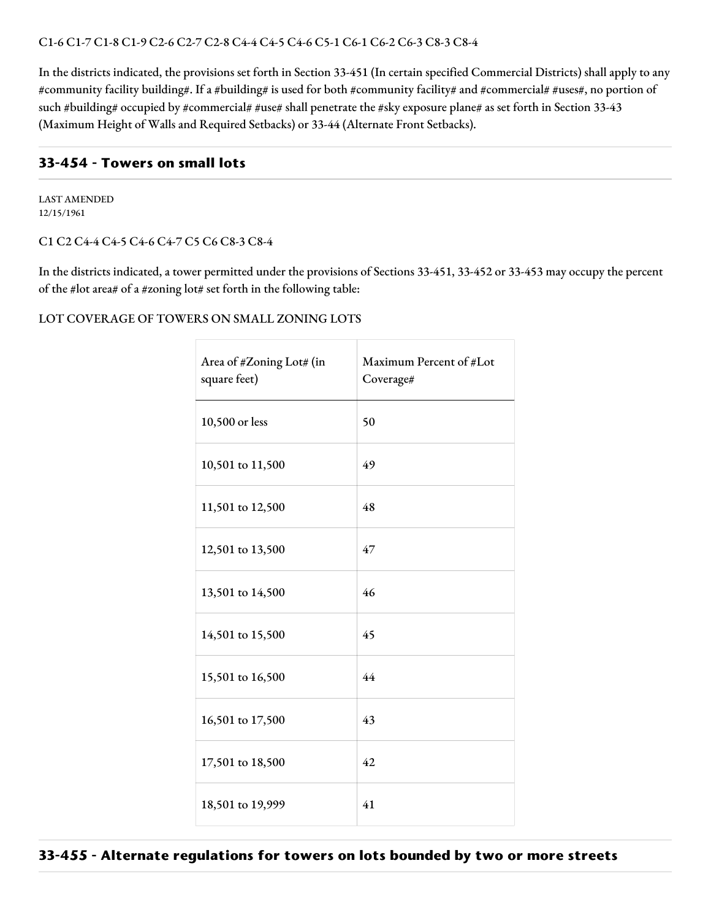## C1-6 C1-7 C1-8 C1-9 C2-6 C2-7 C2-8 C4-4 C4-5 C4-6 C5-1 C6-1 C6-2 C6-3 C8-3 C8-4

In the districts indicated, the provisions set forth in Section 33-451 (In certain specified Commercial Districts) shall apply to any #community facility building#. If a #building# is used for both #community facility# and #commercial# #uses#, no portion of such #building# occupied by #commercial# #use# shall penetrate the #sky exposure plane# as set forth in Section 33-43 (Maximum Height of Walls and Required Setbacks) or 33-44 (Alternate Front Setbacks).

## **33-454 - Towers on small lots**

LAST AMENDED 12/15/1961

## C1 C2 C4-4 C4-5 C4-6 C4-7 C5 C6 C8-3 C8-4

In the districts indicated, a tower permitted under the provisions of Sections 33-451, 33-452 or 33-453 may occupy the percent of the #lot area# of a #zoning lot# set forth in the following table:

LOT COVERAGE OF TOWERS ON SMALL ZONING LOTS

| Area of #Zoning Lot# (in<br>square feet) | Maximum Percent of #Lot<br>Coverage# |
|------------------------------------------|--------------------------------------|
| 10,500 or less                           | 50                                   |
| 10,501 to 11,500                         | 49                                   |
| 11,501 to 12,500                         | 48                                   |
| 12,501 to 13,500                         | 47                                   |
| 13,501 to 14,500                         | 46                                   |
| 14,501 to 15,500                         | 45                                   |
| 15,501 to 16,500                         | 44                                   |
| 16,501 to 17,500                         | 43                                   |
| 17,501 to 18,500                         | 42                                   |
| 18,501 to 19,999                         | 41                                   |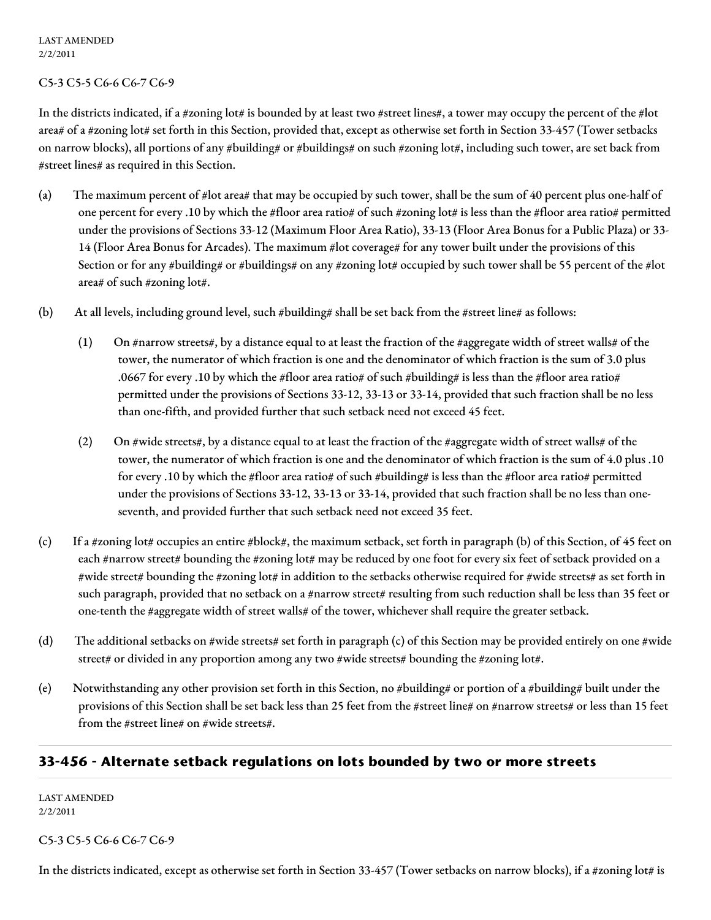## C5-3 C5-5 C6-6 C6-7 C6-9

In the districts indicated, if a #zoning lot# is bounded by at least two #street lines#, a tower may occupy the percent of the #lot area# of a #zoning lot# set forth in this Section, provided that, except as otherwise set forth in Section 33-457 (Tower setbacks on narrow blocks), all portions of any #building# or #buildings# on such #zoning lot#, including such tower, are set back from #street lines# as required in this Section.

- (a) The maximum percent of #lot area# that may be occupied by such tower, shall be the sum of 40 percent plus one-half of one percent for every .10 by which the #floor area ratio# of such #zoning lot# is less than the #floor area ratio# permitted under the provisions of Sections 33-12 (Maximum Floor Area Ratio), 33-13 (Floor Area Bonus for a Public Plaza) or 33- 14 (Floor Area Bonus for Arcades). The maximum #lot coverage# for any tower built under the provisions of this Section or for any #building# or #buildings# on any #zoning lot# occupied by such tower shall be 55 percent of the #lot area# of such #zoning lot#.
- (b) At all levels, including ground level, such #building# shall be set back from the #street line# as follows:
	- (1) On #narrow streets#, by a distance equal to at least the fraction of the #aggregate width of street walls# of the tower, the numerator of which fraction is one and the denominator of which fraction is the sum of 3.0 plus .0667 for every .10 by which the #floor area ratio# of such #building# is less than the #floor area ratio# permitted under the provisions of Sections 33-12, 33-13 or 33-14, provided that such fraction shall be no less than one-fifth, and provided further that such setback need not exceed 45 feet.
	- (2) On #wide streets#, by a distance equal to at least the fraction of the #aggregate width of street walls# of the tower, the numerator of which fraction is one and the denominator of which fraction is the sum of 4.0 plus .10 for every .10 by which the #floor area ratio# of such #building# is less than the #floor area ratio# permitted under the provisions of Sections 33-12, 33-13 or 33-14, provided that such fraction shall be no less than oneseventh, and provided further that such setback need not exceed 35 feet.
- (c) If a #zoning lot# occupies an entire #block#, the maximum setback, set forth in paragraph (b) of this Section, of 45 feet on each #narrow street# bounding the #zoning lot# may be reduced by one foot for every six feet of setback provided on a #wide street# bounding the #zoning lot# in addition to the setbacks otherwise required for #wide streets# as set forth in such paragraph, provided that no setback on a #narrow street# resulting from such reduction shall be less than 35 feet or one-tenth the #aggregate width of street walls# of the tower, whichever shall require the greater setback.
- (d) The additional setbacks on #wide streets# set forth in paragraph (c) of this Section may be provided entirely on one #wide street# or divided in any proportion among any two #wide streets# bounding the #zoning lot#.
- (e) Notwithstanding any other provision set forth in this Section, no #building# or portion of a #building# built under the provisions of this Section shall be set back less than 25 feet from the #street line# on #narrow streets# or less than 15 feet from the #street line# on #wide streets#.

# **33-456 - Alternate setback regulations on lots bounded by two or more streets**

LAST AMENDED 2/2/2011

## C5-3 C5-5 C6-6 C6-7 C6-9

In the districts indicated, except as otherwise set forth in Section 33-457 (Tower setbacks on narrow blocks), if a #zoning lot# is